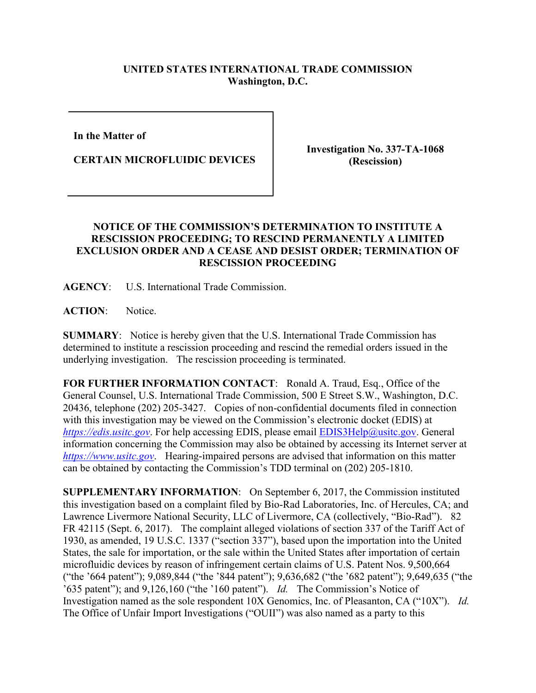## **UNITED STATES INTERNATIONAL TRADE COMMISSION Washington, D.C.**

**In the Matter of** 

**CERTAIN MICROFLUIDIC DEVICES**

**Investigation No. 337-TA-1068 (Rescission)**

## **NOTICE OF THE COMMISSION'S DETERMINATION TO INSTITUTE A RESCISSION PROCEEDING; TO RESCIND PERMANENTLY A LIMITED EXCLUSION ORDER AND A CEASE AND DESIST ORDER; TERMINATION OF RESCISSION PROCEEDING**

**AGENCY**: U.S. International Trade Commission.

**ACTION**: Notice.

**SUMMARY**: Notice is hereby given that the U.S. International Trade Commission has determined to institute a rescission proceeding and rescind the remedial orders issued in the underlying investigation. The rescission proceeding is terminated.

**FOR FURTHER INFORMATION CONTACT**: Ronald A. Traud, Esq., Office of the General Counsel, U.S. International Trade Commission, 500 E Street S.W., Washington, D.C. 20436, telephone (202) 205-3427. Copies of non-confidential documents filed in connection with this investigation may be viewed on the Commission's electronic docket (EDIS) at *[https://edis.usitc.gov](https://edis.usitc.gov/).* For help accessing EDIS, please email [EDIS3Help@usitc.gov.](mailto:EDIS3Help@usitc.gov) General information concerning the Commission may also be obtained by accessing its Internet server at *[https://www.usitc.gov](https://www.usitc.gov/)*. Hearing-impaired persons are advised that information on this matter can be obtained by contacting the Commission's TDD terminal on (202) 205-1810.

**SUPPLEMENTARY INFORMATION**: On September 6, 2017, the Commission instituted this investigation based on a complaint filed by Bio-Rad Laboratories, Inc. of Hercules, CA; and Lawrence Livermore National Security, LLC of Livermore, CA (collectively, "Bio-Rad"). 82 FR 42115 (Sept. 6, 2017). The complaint alleged violations of section 337 of the Tariff Act of 1930, as amended, 19 U.S.C. 1337 ("section 337"), based upon the importation into the United States, the sale for importation, or the sale within the United States after importation of certain microfluidic devices by reason of infringement certain claims of U.S. Patent Nos. 9,500,664 ("the '664 patent"); 9,089,844 ("the '844 patent"); 9,636,682 ("the '682 patent"); 9,649,635 ("the '635 patent"); and 9,126,160 ("the '160 patent"). *Id.* The Commission's Notice of Investigation named as the sole respondent 10X Genomics, Inc. of Pleasanton, CA ("10X"). *Id.* The Office of Unfair Import Investigations ("OUII") was also named as a party to this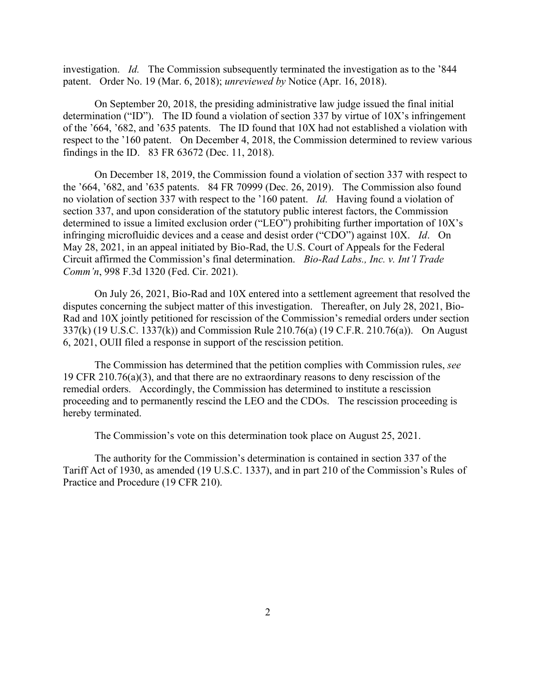investigation. *Id.* The Commission subsequently terminated the investigation as to the '844 patent. Order No. 19 (Mar. 6, 2018); *unreviewed by* Notice (Apr. 16, 2018).

On September 20, 2018, the presiding administrative law judge issued the final initial determination ("ID"). The ID found a violation of section 337 by virtue of 10X's infringement of the '664, '682, and '635 patents. The ID found that 10X had not established a violation with respect to the '160 patent. On December 4, 2018, the Commission determined to review various findings in the ID. 83 FR 63672 (Dec. 11, 2018).

On December 18, 2019, the Commission found a violation of section 337 with respect to the '664, '682, and '635 patents. 84 FR 70999 (Dec. 26, 2019). The Commission also found no violation of section 337 with respect to the '160 patent. *Id.* Having found a violation of section 337, and upon consideration of the statutory public interest factors, the Commission determined to issue a limited exclusion order ("LEO") prohibiting further importation of 10X's infringing microfluidic devices and a cease and desist order ("CDO") against 10X. *Id*. On May 28, 2021, in an appeal initiated by Bio-Rad, the U.S. Court of Appeals for the Federal Circuit affirmed the Commission's final determination. *Bio-Rad Labs., Inc. v. Int'l Trade Comm'n*, 998 F.3d 1320 (Fed. Cir. 2021).

On July 26, 2021, Bio-Rad and 10X entered into a settlement agreement that resolved the disputes concerning the subject matter of this investigation. Thereafter, on July 28, 2021, Bio-Rad and 10X jointly petitioned for rescission of the Commission's remedial orders under section 337(k) (19 U.S.C. 1337(k)) and Commission Rule 210.76(a) (19 C.F.R. 210.76(a)). On August 6, 2021, OUII filed a response in support of the rescission petition.

The Commission has determined that the petition complies with Commission rules, *see* 19 CFR 210.76(a)(3), and that there are no extraordinary reasons to deny rescission of the remedial orders. Accordingly, the Commission has determined to institute a rescission proceeding and to permanently rescind the LEO and the CDOs. The rescission proceeding is hereby terminated.

The Commission's vote on this determination took place on August 25, 2021.

The authority for the Commission's determination is contained in section 337 of the Tariff Act of 1930, as amended (19 U.S.C. 1337), and in part 210 of the Commission's Rules of Practice and Procedure (19 CFR 210).